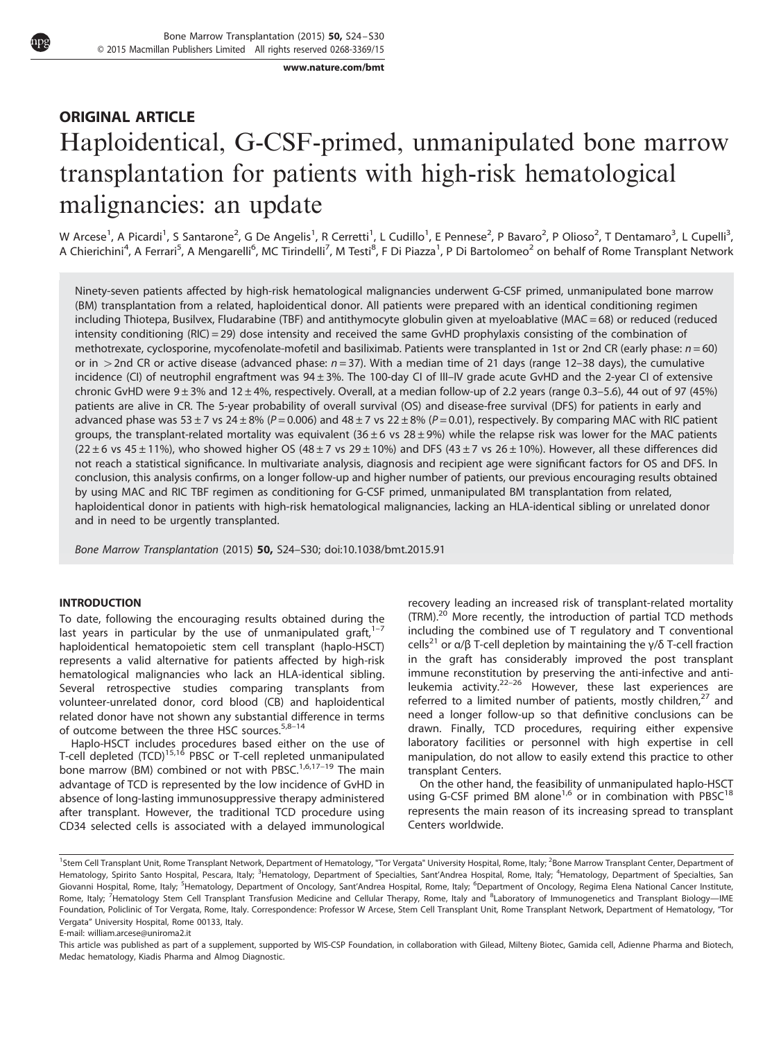[www.nature.com/bmt](http://www.nature.com/bmt)

# ORIGINAL ARTICLE Haploidentical, G-CSF-primed, unmanipulated bone marrow transplantation for patients with high-risk hematological malignancies: an update

W Arcese<sup>1</sup>, A Picardi<sup>1</sup>, S Santarone<sup>2</sup>, G De Angelis<sup>1</sup>, R Cerretti<sup>1</sup>, L Cudillo<sup>1</sup>, E Pennese<sup>2</sup>, P Bavaro<sup>2</sup>, P Olioso<sup>2</sup>, T Dentamaro<sup>3</sup>, L Cupelli<sup>3</sup>, A Chierichini<sup>4</sup>, A Ferrari<sup>5</sup>, A Mengarelli<sup>6</sup>, MC Tirindelli<sup>7</sup>, M Testi<sup>8</sup>, F Di Piazza<sup>1</sup>, P Di Bartolomeo<sup>2</sup> on behalf of Rome Transplant Network

Ninety-seven patients affected by high-risk hematological malignancies underwent G-CSF primed, unmanipulated bone marrow (BM) transplantation from a related, haploidentical donor. All patients were prepared with an identical conditioning regimen including Thiotepa, Busilvex, Fludarabine (TBF) and antithymocyte globulin given at myeloablative (MAC = 68) or reduced (reduced intensity conditioning (RIC) = 29) dose intensity and received the same GvHD prophylaxis consisting of the combination of methotrexate, cyclosporine, mycofenolate-mofetil and basiliximab. Patients were transplanted in 1st or 2nd CR (early phase:  $n = 60$ ) or in  $>$ 2nd CR or active disease (advanced phase:  $n = 37$ ). With a median time of 21 days (range 12–38 days), the cumulative incidence (CI) of neutrophil engraftment was 94 ± 3%. The 100-day CI of III-IV grade acute GvHD and the 2-year CI of extensive chronic GvHD were  $9 \pm 3\%$  and  $12 \pm 4\%$ , respectively. Overall, at a median follow-up of 2.2 years (range 0.3–5.6), 44 out of 97 (45%) patients are alive in CR. The 5-year probability of overall survival (OS) and disease-free survival (DFS) for patients in early and advanced phase was  $53 \pm 7$  vs  $24 \pm 8\%$  (P = 0.006) and  $48 \pm 7$  vs  $22 \pm 8\%$  (P = 0.01), respectively. By comparing MAC with RIC patient groups, the transplant-related mortality was equivalent  $(36 \pm 6 \text{ vs } 28 \pm 9\%)$  while the relapse risk was lower for the MAC patients  $(22 \pm 6 \text{ vs } 45 \pm 11\%)$ , who showed higher OS  $(48 \pm 7 \text{ vs } 29 \pm 10\%)$  and DFS  $(43 \pm 7 \text{ vs } 26 \pm 10\%)$ . However, all these differences did not reach a statistical significance. In multivariate analysis, diagnosis and recipient age were significant factors for OS and DFS. In conclusion, this analysis confirms, on a longer follow-up and higher number of patients, our previous encouraging results obtained by using MAC and RIC TBF regimen as conditioning for G-CSF primed, unmanipulated BM transplantation from related, haploidentical donor in patients with high-risk hematological malignancies, lacking an HLA-identical sibling or unrelated donor and in need to be urgently transplanted.

Bone Marrow Transplantation (2015) 50, S24–S30; doi[:10.1038/bmt.2015.91](http://dx.doi.org/10.1038/bmt.2015.91)

# **INTRODUCTION**

To date, following the encouraging results obtained during [the](#page-5-0) last years in particular by the use of unmanipulated graft, $1-7$ haploidentical hematopoietic stem cell transplant (haplo-HSCT) represents a valid alternative for patients affected by high-risk hematological malignancies who lack an HLA-identical sibling. Several retrospective studies comparing transplants from volunteer-unrelated donor, cord blood (CB) and haploidentical related donor have not shown any substantial difference in terms of outcome between the three HSC sources.<sup>[5,](#page-6-0)8-[14](#page-6-0)</sup>

Haplo-HSCT includes procedures based either on the use of T-cell depleted (TCD)[15,16](#page-6-0) PBSC or T-cell repleted unmanipulated bone marrow (BM) combined or not with PBSC.<sup>[1](#page-5-0),[6](#page-6-0),17-[19](#page-6-0)</sup> The main advantage of TCD is represented by the low incidence of GvHD in absence of long-lasting immunosuppressive therapy administered after transplant. However, the traditional TCD procedure using CD34 selected cells is associated with a delayed immunological recovery leading an increased risk of transplant-related mortality (TRM).<sup>26</sup> More recently, the introduction of partial TCD methods including the combined use of T regulatory and T conventional cells<sup>[21](#page-6-0)</sup> or α/β T-cell depletion by maintaining the γ/δ T-cell fraction in the graft has considerably improved the post transplant immune reconstitution by preserving the anti-infective and antileukemia activity.[22](#page-6-0)–<sup>26</sup> However, these last experiences are referred to a limited number of patients, mostly children,<sup>[27](#page-6-0)</sup> and need a longer follow-up so that definitive conclusions can be drawn. Finally, TCD procedures, requiring either expensive laboratory facilities or personnel with high expertise in cell manipulation, do not allow to easily extend this practice to other transplant Centers.

On the other hand, the feasibility of unmanipulated haplo-HSCT using G-CSF primed BM alone<sup>[1,](#page-5-0)[6](#page-6-0)</sup> or in combination with PBSC<sup>[18](#page-6-0)</sup> represents the main reason of its increasing spread to transplant Centers worldwide.

E-mail: [william.arcese@uniroma2.it](mailto:william.arcese@uniroma2.it)

<sup>&</sup>lt;sup>1</sup>Stem Cell Transplant Unit, Rome Transplant Network, Department of Hematology, "Tor Vergata" University Hospital, Rome, Italy; <sup>2</sup>Bone Marrow Transplant Center, Department of Hematology, Spirito Santo Hospital, Pescara, Italy; <sup>3</sup>Hematology, Department of Specialties, Sant'Andrea Hospital, Rome, Italy; <sup>4</sup>Hematology, Department of Specialties, San Giovanni Hospital, Rome, Italy; <sup>5</sup>Hematology, Department of Oncology, Sant'Andrea Hospital, Rome, Italy; <sup>6</sup>Department of Oncology, Regima Elena National Cancer Institute, Rome, Italy; <sup>7</sup>Hematology Stem Cell Transplant Transfusion Medicine and Cellular Therapy, Rome, Italy and <sup>8</sup>Laboratory of Immunogenetics and Transplant Biology—IME Foundation, Policlinic of Tor Vergata, Rome, Italy. Correspondence: Professor W Arcese, Stem Cell Transplant Unit, Rome Transplant Network, Department of Hematology, "Tor Vergata" University Hospital, Rome 00133, Italy.

This article was published as part of a supplement, supported by WIS-CSP Foundation, in collaboration with Gilead, Milteny Biotec, Gamida cell, Adienne Pharma and Biotech, Medac hematology, Kiadis Pharma and Almog Diagnostic.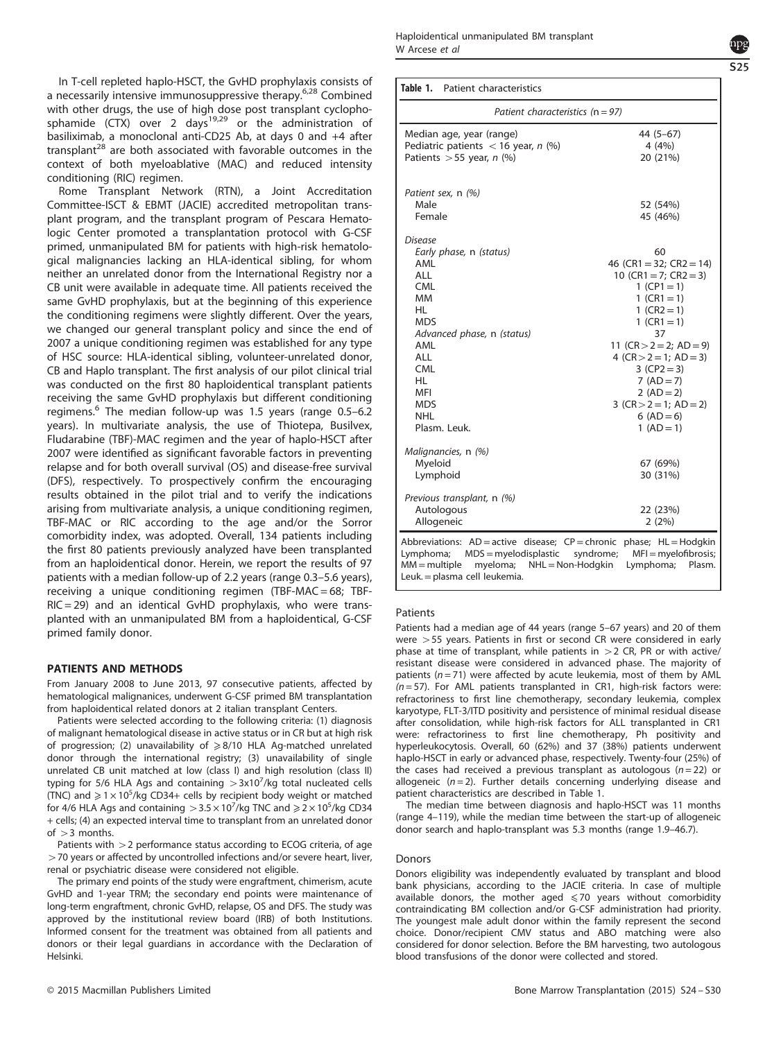In T-cell repleted haplo-HSCT, the GvHD prophylaxis consists of a necessarily intensive immunosuppressive therapy.<sup>[6,28](#page-6-0)</sup> Combined with other drugs, the use of high dose post transplant cyclopho-sphamide (CTX) over 2 days<sup>[19,29](#page-6-0)</sup> or the administration of basiliximab, a monoclonal anti-CD25 Ab, at days 0 and +4 after transplant $^{28}$  $^{28}$  $^{28}$  are both associated with favorable outcomes in the context of both myeloablative (MAC) and reduced intensity conditioning (RIC) regimen.

Rome Transplant Network (RTN), a Joint Accreditation Committee-ISCT & EBMT (JACIE) accredited metropolitan transplant program, and the transplant program of Pescara Hematologic Center promoted a transplantation protocol with G-CSF primed, unmanipulated BM for patients with high-risk hematological malignancies lacking an HLA-identical sibling, for whom neither an unrelated donor from the International Registry nor a CB unit were available in adequate time. All patients received the same GvHD prophylaxis, but at the beginning of this experience the conditioning regimens were slightly different. Over the years, we changed our general transplant policy and since the end of 2007 a unique conditioning regimen was established for any type of HSC source: HLA-identical sibling, volunteer-unrelated donor, CB and Haplo transplant. The first analysis of our pilot clinical trial was conducted on the first 80 haploidentical transplant patients receiving the same GvHD prophylaxis but different conditioning regimens. $6$  The median follow-up was 1.5 years (range 0.5–6.2) years). In multivariate analysis, the use of Thiotepa, Busilvex, Fludarabine (TBF)-MAC regimen and the year of haplo-HSCT after 2007 were identified as significant favorable factors in preventing relapse and for both overall survival (OS) and disease-free survival (DFS), respectively. To prospectively confirm the encouraging results obtained in the pilot trial and to verify the indications arising from multivariate analysis, a unique conditioning regimen, TBF-MAC or RIC according to the age and/or the Sorror comorbidity index, was adopted. Overall, 134 patients including the first 80 patients previously analyzed have been transplanted from an haploidentical donor. Herein, we report the results of 97 patients with a median follow-up of 2.2 years (range 0.3–5.6 years), receiving a unique conditioning regimen (TBF-MAC = 68; TBF-RIC = 29) and an identical GvHD prophylaxis, who were transplanted with an unmanipulated BM from a haploidentical, G-CSF primed family donor.

## PATIENTS AND METHODS

From January 2008 to June 2013, 97 consecutive patients, affected by hematological malignanices, underwent G-CSF primed BM transplantation from haploidentical related donors at 2 italian transplant Centers.

Patients were selected according to the following criteria: (1) diagnosis of malignant hematological disease in active status or in CR but at high risk of progression; (2) unavailability of  $\geq 8/10$  HLA Ag-matched unrelated donor through the international registry; (3) unavailability of single unrelated CB unit matched at low (class I) and high resolution (class II) typing for 5/6 HLA Ags and containing  $>$  3x10<sup>7</sup>/kg total nucleated cells (TNC) and  $\geq 1 \times 10^{5}$ /kg CD34+ cells by recipient body weight or matched for 4/6 HLA Ags and containing  $>$  3.5  $\times$  10<sup>7</sup>/kg TNC and  $\ge$  2  $\times$  10<sup>5</sup>/kg CD34 + cells; (4) an expected interval time to transplant from an unrelated donor of  $>$  3 months.

Patients with  $>$  2 performance status according to ECOG criteria, of age  $>$  70 years or affected by uncontrolled infections and/or severe heart, liver, renal or psychiatric disease were considered not eligible.

The primary end points of the study were engraftment, chimerism, acute GvHD and 1-year TRM; the secondary end points were maintenance of long-term engraftment, chronic GvHD, relapse, OS and DFS. The study was approved by the institutional review board (IRB) of both Institutions. Informed consent for the treatment was obtained from all patients and donors or their legal guardians in accordance with the Declaration of Helsinki.

Table 1. Patie

S25

| <b>Table 1.</b> Patient characteristics |                           |  |  |  |
|-----------------------------------------|---------------------------|--|--|--|
| Patient characteristics ( $n = 97$ )    |                           |  |  |  |
| Median age, year (range)                | $44(5-67)$                |  |  |  |
| Pediatric patients < 16 year, $n$ (%)   | 4(4%)                     |  |  |  |
| Patients $> 55$ year, n (%)             | 20 (21%)                  |  |  |  |
| Patient sex, n (%)                      |                           |  |  |  |
| Male                                    | 52 (54%)                  |  |  |  |
| Female                                  | 45 (46%)                  |  |  |  |
| Disease                                 |                           |  |  |  |
| Early phase, n (status)                 | 60                        |  |  |  |
| <b>AAAI</b>                             | $AC (CD1 = 22, CD2 = 14)$ |  |  |  |

| <b>Disease</b>                                                                                                                                          |                                                                                                        |  |  |  |
|---------------------------------------------------------------------------------------------------------------------------------------------------------|--------------------------------------------------------------------------------------------------------|--|--|--|
| Early phase, n (status)                                                                                                                                 | 60                                                                                                     |  |  |  |
| AML                                                                                                                                                     | 46 (CR1 = 32; CR2 = 14)                                                                                |  |  |  |
| <b>ALL</b>                                                                                                                                              | 10 (CR1 = 7; CR2 = 3)                                                                                  |  |  |  |
| <b>CML</b>                                                                                                                                              | 1 (CP1 = 1)                                                                                            |  |  |  |
| <b>MM</b>                                                                                                                                               | 1 $(CR1 = 1)$                                                                                          |  |  |  |
| HL                                                                                                                                                      | 1 (CR2 = 1)                                                                                            |  |  |  |
| <b>MDS</b>                                                                                                                                              | 1 (CR1 = 1)                                                                                            |  |  |  |
| Advanced phase, n (status)                                                                                                                              | 37                                                                                                     |  |  |  |
| AML                                                                                                                                                     | 11 (CR $>$ 2 = 2; AD = 9)                                                                              |  |  |  |
| ALL                                                                                                                                                     | 4 ( $CR > 2 = 1$ ; $AD = 3$ )                                                                          |  |  |  |
| <b>CML</b>                                                                                                                                              | $3 (CP2 = 3)$                                                                                          |  |  |  |
| HL                                                                                                                                                      | $7 (AD = 7)$                                                                                           |  |  |  |
| MFI                                                                                                                                                     | $2 (AD = 2)$                                                                                           |  |  |  |
| <b>MDS</b>                                                                                                                                              | 3 ( $CR > 2 = 1$ ; $AD = 2$ )                                                                          |  |  |  |
| <b>NHL</b>                                                                                                                                              | $6 (AD = 6)$                                                                                           |  |  |  |
| Plasm. Leuk.                                                                                                                                            | 1 $(AD = 1)$                                                                                           |  |  |  |
| Malignancies, n (%)                                                                                                                                     |                                                                                                        |  |  |  |
| Myeloid                                                                                                                                                 | 67 (69%)                                                                                               |  |  |  |
| Lymphoid                                                                                                                                                | 30 (31%)                                                                                               |  |  |  |
|                                                                                                                                                         |                                                                                                        |  |  |  |
| Previous transplant, n (%)                                                                                                                              |                                                                                                        |  |  |  |
| Autologous                                                                                                                                              | 22 (23%)                                                                                               |  |  |  |
| Allogeneic                                                                                                                                              | 2(2%)                                                                                                  |  |  |  |
| Abbreviations: $AD = active$ disease; $CP = chronic$ phase; $HL = Hodgkin$<br>Lymphoma;<br>$MM = multiple$<br>myeloma;<br>Leuk. = plasma cell leukemia. | $MDS = myelodisplastic$ syndrome; $MFI = myelofibrosis;$<br>$NHL = Non-Hodgkin$<br>Lymphoma;<br>Plasm. |  |  |  |

#### Patients

Patients had a median age of 44 years (range 5–67 years) and 20 of them were  $>$  55 years. Patients in first or second CR were considered in early phase at time of transplant, while patients in  $>$  2 CR, PR or with active/ resistant disease were considered in advanced phase. The majority of patients ( $n = 71$ ) were affected by acute leukemia, most of them by AML  $(n=57)$ . For AML patients transplanted in CR1, high-risk factors were: refractoriness to first line chemotherapy, secondary leukemia, complex karyotype, FLT-3/ITD positivity and persistence of minimal residual disease after consolidation, while high-risk factors for ALL transplanted in CR1 were: refractoriness to first line chemotherapy, Ph positivity and hyperleukocytosis. Overall, 60 (62%) and 37 (38%) patients underwent haplo-HSCT in early or advanced phase, respectively. Twenty-four (25%) of the cases had received a previous transplant as autologous ( $n = 22$ ) or allogeneic  $(n = 2)$ . Further details concerning underlying disease and patient characteristics are described in Table 1.

The median time between diagnosis and haplo-HSCT was 11 months (range 4–119), while the median time between the start-up of allogeneic donor search and haplo-transplant was 5.3 months (range 1.9–46.7).

#### Donors

Donors eligibility was independently evaluated by transplant and blood bank physicians, according to the JACIE criteria. In case of multiple available donors, the mother aged  $\leq 70$  years without comorbidity contraindicating BM collection and/or G-CSF administration had priority. The youngest male adult donor within the family represent the second choice. Donor/recipient CMV status and ABO matching were also considered for donor selection. Before the BM harvesting, two autologous blood transfusions of the donor were collected and stored.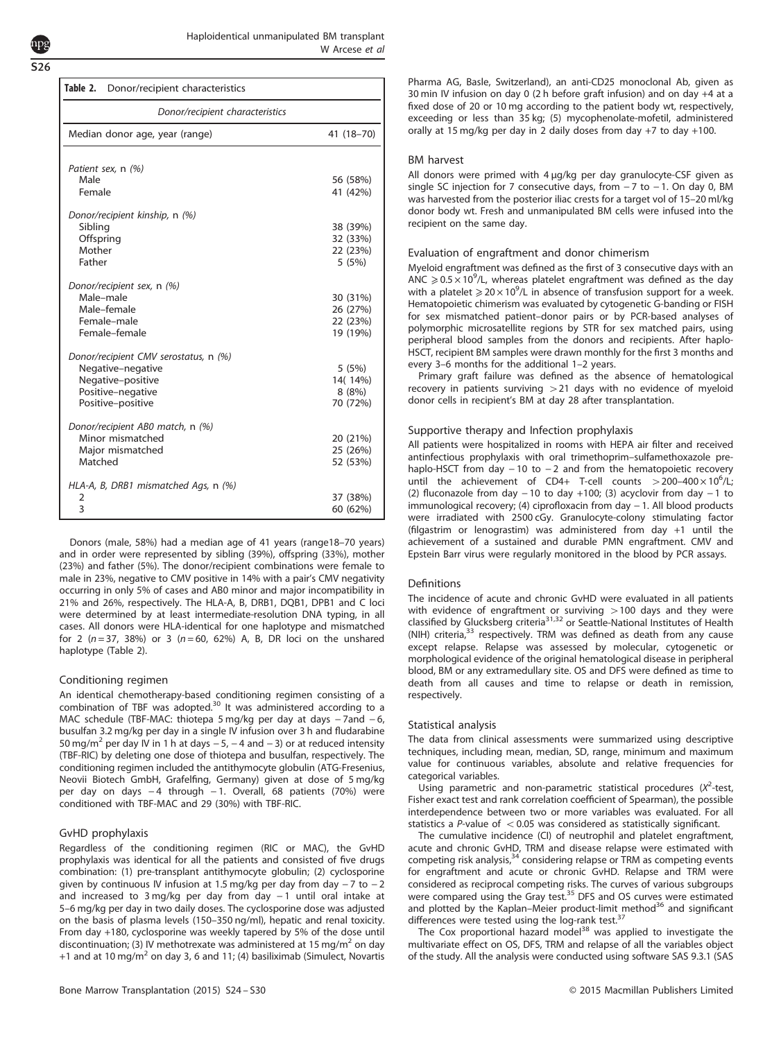Table 2. Donor/recipient characteristics Donor/recipient characteristics Median donor age, year (range) 41 (18-70) Patient sex, n (%) Male 56 (58%) Female 41 (42%) Donor/recipient kinship, n (%) Sibling 38 (39%) Offspring 32 (33%)<br>Mother 32 (23%) Mother 22 (23%)<br>Father 22 (5%) Father  $5(5\%)$ Donor/recipient sex, n (%) Male–male 30 (31%)<br>Male–female 30 (27%) Male–female<br>
Female–male<br>
22 (23%) Female–male<br>
Female–female<br>
22 (23%)<br>
19 (19%) Female–female Donor/recipient CMV serostatus, n (%) Negative–negative<br>
Negative–positive<br>
Negative–positive<br>  $14(14\%)$ Negative–positive<br>Positive–negative 14( 14%)<br>B (8%) Positive–negative and the set of the set of the Second Second B (8%)<br>Positive–nositive and the Second Second Second Second Second Second Second Second Second Second Second Second S Positive–positive Donor/recipient AB0 match, n (%) Minor mismatched 20 (21%)<br>
Major mismatched 25 (26%) Major mismatched 25 (26%)<br>Matched 25 (53%) Matched 52 (53%) HLA-A, B, DRB1 mismatched Ags, n (%) 2 37 (38%) 3 60 (62%)

Donors (male, 58%) had a median age of 41 years (range18–70 years) and in order were represented by sibling (39%), offspring (33%), mother (23%) and father (5%). The donor/recipient combinations were female to male in 23%, negative to CMV positive in 14% with a pair's CMV negativity occurring in only 5% of cases and AB0 minor and major incompatibility in 21% and 26%, respectively. The HLA-A, B, DRB1, DQB1, DPB1 and C loci were determined by at least intermediate-resolution DNA typing, in all cases. All donors were HLA-identical for one haplotype and mismatched for 2  $(n = 37, 38%)$  or 3  $(n = 60, 62%)$  A, B, DR loci on the unshared haplotype (Table 2).

## Conditioning regimen

An identical chemotherapy-based conditioning regimen consisting of a combination of TBF was adopted.<sup>30</sup> It was administered according to a MAC schedule (TBF-MAC: thiotepa 5 mg/kg per day at days − 7and − 6, busulfan 3.2 mg/kg per day in a single IV infusion over 3 h and fludarabine 50 mg/m<sup>2</sup> per day IV in 1 h at days  $-5$ ,  $-4$  and  $-3$ ) or at reduced intensity (TBF-RIC) by deleting one dose of thiotepa and busulfan, respectively. The conditioning regimen included the antithymocyte globulin (ATG-Fresenius, Neovii Biotech GmbH, Grafelfing, Germany) given at dose of 5 mg/kg per day on days −4 through −1. Overall, 68 patients (70%) were conditioned with TBF-MAC and 29 (30%) with TBF-RIC.

## GvHD prophylaxis

Regardless of the conditioning regimen (RIC or MAC), the GvHD prophylaxis was identical for all the patients and consisted of five drugs combination: (1) pre-transplant antithymocyte globulin; (2) cyclosporine given by continuous IV infusion at 1.5 mg/kg per day from day − 7 to − 2 and increased to 3 mg/kg per day from day −1 until oral intake at 5–6 mg/kg per day in two daily doses. The cyclosporine dose was adjusted on the basis of plasma levels (150–350 ng/ml), hepatic and renal toxicity. From day +180, cyclosporine was weekly tapered by 5% of the dose until discontinuation; (3) IV methotrexate was administered at 15 mg/m<sup>2</sup> on day +1 and at 10 mg/m<sup>2</sup> on day 3, 6 and 11; (4) basiliximab (Simulect, Novartis Pharma AG, Basle, Switzerland), an anti-CD25 monoclonal Ab, given as 30 min IV infusion on day 0 (2 h before graft infusion) and on day +4 at a fixed dose of 20 or 10 mg according to the patient body wt, respectively, exceeding or less than 35 kg; (5) mycophenolate-mofetil, administered orally at 15 mg/kg per day in 2 daily doses from day +7 to day +100.

## BM harvest

All donors were primed with 4 μg/kg per day granulocyte-CSF given as single SC injection for 7 consecutive days, from −7 to −1. On day 0, BM was harvested from the posterior iliac crests for a target vol of 15–20 ml/kg donor body wt. Fresh and unmanipulated BM cells were infused into the recipient on the same day.

## Evaluation of engraftment and donor chimerism

Myeloid engraftment was defined as the first of 3 consecutive days with an ANC  $\geq 0.5 \times 10^9$ /L, whereas platelet engraftment was defined as the day with a platelet  $\ge 20 \times 10^9$ /L in absence of transfusion support for a week. Hematopoietic chimerism was evaluated by cytogenetic G-banding or FISH for sex mismatched patient–donor pairs or by PCR-based analyses of polymorphic microsatellite regions by STR for sex matched pairs, using peripheral blood samples from the donors and recipients. After haplo-HSCT, recipient BM samples were drawn monthly for the first 3 months and every 3–6 months for the additional 1–2 years.

Primary graft failure was defined as the absence of hematological recovery in patients surviving  $>$  21 days with no evidence of myeloid donor cells in recipient's BM at day 28 after transplantation.

## Supportive therapy and Infection prophylaxis

All patients were hospitalized in rooms with HEPA air filter and received antinfectious prophylaxis with oral trimethoprim–sulfamethoxazole prehaplo-HSCT from day −10 to −2 and from the hematopoietic recovery until the achievement of CD4+ T-cell counts  $>$  200-400  $\times$  10<sup>6</sup>/L; (2) fluconazole from day − 10 to day +100; (3) acyclovir from day − 1 to immunological recovery; (4) ciprofloxacin from day − 1. All blood products were irradiated with 2500 cGy. Granulocyte-colony stimulating factor (filgastrim or lenograstim) was administered from day +1 until the achievement of a sustained and durable PMN engraftment. CMV and Epstein Barr virus were regularly monitored in the blood by PCR assays.

## **Definitions**

The incidence of acute and chronic GvHD were evaluated in all patients with evidence of engraftment or surviving  $>100$  days and they were classified by Glucksberg criteri[a31,32](#page-6-0) or Seattle-National Institutes of Health (NIH) criteria,<sup>[33](#page-6-0)</sup> respectively. TRM was defined as death from any cause except relapse. Relapse was assessed by molecular, cytogenetic or morphological evidence of the original hematological disease in peripheral blood, BM or any extramedullary site. OS and DFS were defined as time to death from all causes and time to relapse or death in remission, respectively.

## Statistical analysis

The data from clinical assessments were summarized using descriptive techniques, including mean, median, SD, range, minimum and maximum value for continuous variables, absolute and relative frequencies for categorical variables.

Using parametric and non-parametric statistical procedures  $(X^2$ -test, Fisher exact test and rank correlation coefficient of Spearman), the possible interdependence between two or more variables was evaluated. For all statistics a P-value of  $< 0.05$  was considered as statistically significant.

The cumulative incidence (CI) of neutrophil and platelet engraftment, acute and chronic GvHD, TRM and disease relapse were estimated with competing risk analysis,<sup>34</sup> considering relapse or TRM as competing events for engraftment and acute or chronic GvHD. Relapse and TRM were considered as reciprocal competing risks. The curves of various subgroups were compared using the Gray test.<sup>35</sup> DFS and OS curves were estimated and plotted by the Kaplan–Meier product-limit method<sup>[36](#page-6-0)</sup> and significant differences were tested using the log-rank test. $37$ 

The Cox proportional hazard model<sup>[38](#page-6-0)</sup> was applied to investigate the multivariate effect on OS, DFS, TRM and relapse of all the variables object of the study. All the analysis were conducted using software SAS 9.3.1 (SAS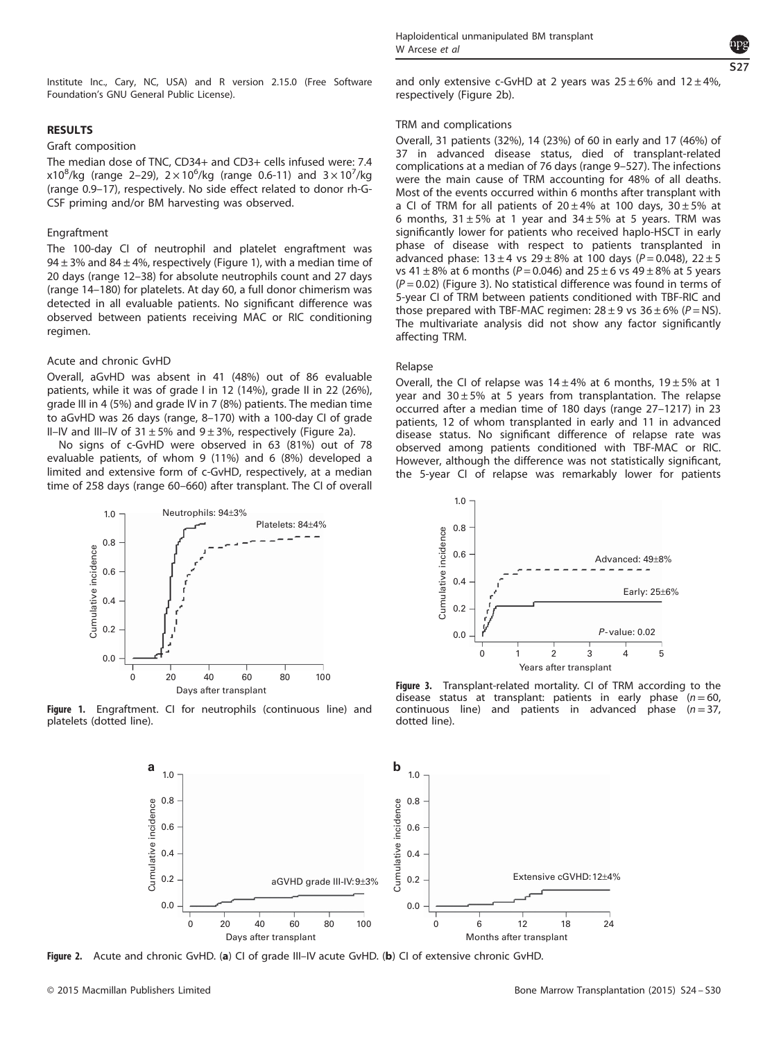

# RESULTS

# Graft composition

The median dose of TNC, CD34+ and CD3+ cells infused were: 7.4  $x10^{8}/kg$  (range 2–29),  $2 \times 10^{6}/kg$  (range 0.6-11) and  $3 \times 10^{7}/kg$ (range 0.9–17), respectively. No side effect related to donor rh-G-CSF priming and/or BM harvesting was observed.

## Engraftment

The 100-day CI of neutrophil and platelet engraftment was 94  $\pm$  3% and 84  $\pm$  4%, respectively (Figure 1), with a median time of 20 days (range 12–38) for absolute neutrophils count and 27 days (range 14–180) for platelets. At day 60, a full donor chimerism was detected in all evaluable patients. No significant difference was observed between patients receiving MAC or RIC conditioning regimen.

# Acute and chronic GvHD

Overall, aGvHD was absent in 41 (48%) out of 86 evaluable patients, while it was of grade I in 12 (14%), grade II in 22 (26%), grade III in 4 (5%) and grade IV in 7 (8%) patients. The median time to aGvHD was 26 days (range, 8–170) with a 100-day CI of grade II–IV and III–IV of  $31 \pm 5\%$  and  $9 \pm 3\%$ , respectively (Figure 2a).

No signs of c-GvHD were observed in 63 (81%) out of 78 evaluable patients, of whom 9 (11%) and 6 (8%) developed a limited and extensive form of c-GvHD, respectively, at a median time of 258 days (range 60–660) after transplant. The CI of overall



Figure 1. Engraftment. CI for neutrophils (continuous line) and platelets (dotted line).



# TRM and complications

Overall, 31 patients (32%), 14 (23%) of 60 in early and 17 (46%) of 37 in advanced disease status, died of transplant-related complications at a median of 76 days (range 9–527). The infections were the main cause of TRM accounting for 48% of all deaths. Most of the events occurred within 6 months after transplant with a CI of TRM for all patients of  $20 \pm 4\%$  at 100 days,  $30 \pm 5\%$  at 6 months,  $31 \pm 5\%$  at 1 year and  $34 \pm 5\%$  at 5 years. TRM was significantly lower for patients who received haplo-HSCT in early phase of disease with respect to patients transplanted in advanced phase:  $13 \pm 4$  vs  $29 \pm 8$ % at 100 days ( $P = 0.048$ ),  $22 \pm 5$ vs 41  $\pm$  8% at 6 months (P = 0.046) and 25  $\pm$  6 vs 49  $\pm$  8% at 5 years  $(P = 0.02)$  (Figure 3). No statistical difference was found in terms of 5-year CI of TRM between patients conditioned with TBF-RIC and those prepared with TBF-MAC regimen:  $28 \pm 9$  vs  $36 \pm 6$ % (P = NS). The multivariate analysis did not show any factor significantly affecting TRM.

#### Relapse

Overall, the CI of relapse was  $14 \pm 4\%$  at 6 months,  $19 \pm 5\%$  at 1 year and  $30 \pm 5$ % at 5 years from transplantation. The relapse occurred after a median time of 180 days (range 27–1217) in 23 patients, 12 of whom transplanted in early and 11 in advanced disease status. No significant difference of relapse rate was observed among patients conditioned with TBF-MAC or RIC. However, although the difference was not statistically significant, the 5-year CI of relapse was remarkably lower for patients



Figure 3. Transplant-related mortality. CI of TRM according to the disease status at transplant: patients in early phase  $(n=60, 60)$ continuous line) and patients in advanced phase  $(n=37)$ , dotted line).



Figure 2. Acute and chronic GvHD. (a) CI of grade III–IV acute GvHD. (b) CI of extensive chronic GvHD.

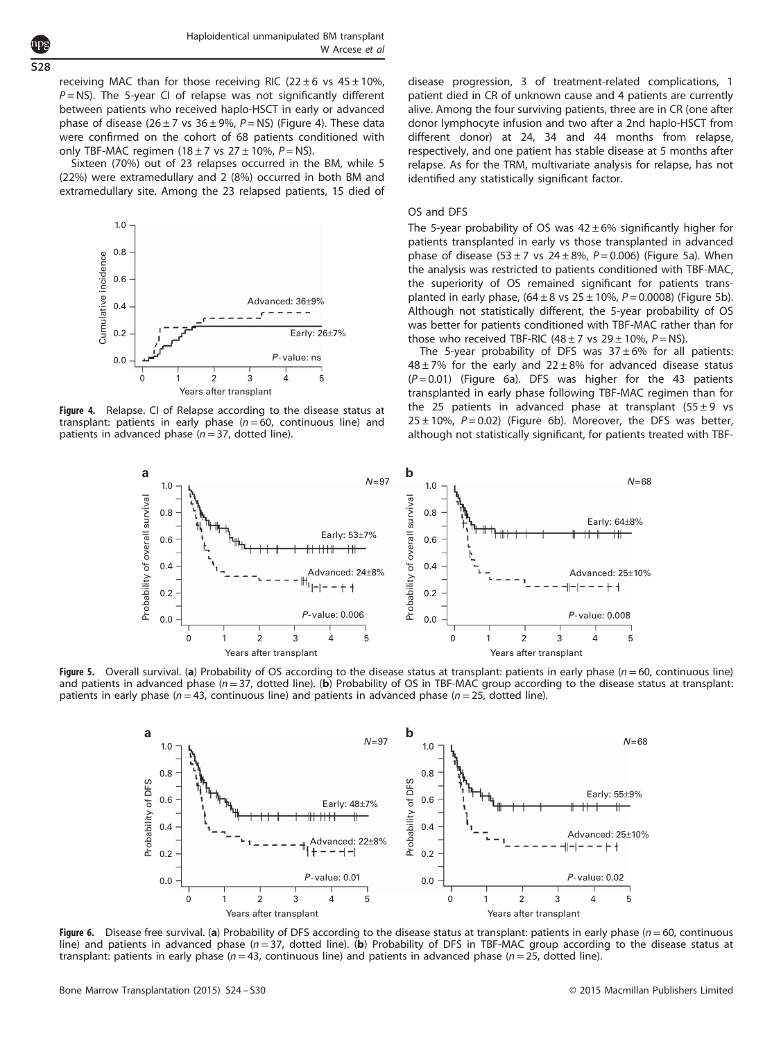receiving MAC than for those receiving RIC (22  $\pm$  6 vs 45  $\pm$  10%,  $P = NS$ ). The 5-year CI of relapse was not significantly different between patients who received haplo-HSCT in early or advanced phase of disease (26  $\pm$  7 vs 36  $\pm$  9%, P = NS) (Figure 4). These data were confirmed on the cohort of 68 patients conditioned with only TBF-MAC regimen  $(18 \pm 7 \text{ vs } 27 \pm 10\%$ ,  $P = \text{NS}$ ).

Sixteen (70%) out of 23 relapses occurred in the BM, while 5 (22%) were extramedullary and 2 (8%) occurred in both BM and extramedullary site. Among the 23 relapsed patients, 15 died of



Figure 4. Relapse. CI of Relapse according to the disease status at transplant: patients in early phase  $(n = 60, \text{ continuous line})$  and patients in advanced phase ( $n=$  37, dotted line).

disease progression, 3 of treatment-related complications, 1 patient died in CR of unknown cause and 4 patients are currently alive. Among the four surviving patients, three are in CR (one after donor lymphocyte infusion and two after a 2nd haplo-HSCT from different donor) at 24, 34 and 44 months from relapse, respectively, and one patient has stable disease at 5 months after relapse. As for the TRM, multivariate analysis for relapse, has not identified any statistically significant factor.

### OS and DFS

The 5-year probability of OS was  $42 \pm 6%$  significantly higher for patients transplanted in early vs those transplanted in advanced phase of disease (53 ± 7 vs  $24 \pm 8$ %,  $P = 0.006$ ) (Figure 5a). When the analysis was restricted to patients conditioned with TBF-MAC, the superiority of OS remained significant for patients transplanted in early phase,  $(64 \pm 8 \text{ vs } 25 \pm 10\% , P = 0.0008)$  (Figure 5b). Although not statistically different, the 5-year probability of OS was better for patients conditioned with TBF-MAC rather than for those who received TBF-RIC (48 ± 7 vs  $29 \pm 10$ %,  $P = NS$ ).

The 5-year probability of DFS was  $37 \pm 6\%$  for all patients:  $48 \pm 7$ % for the early and  $22 \pm 8$ % for advanced disease status  $(P = 0.01)$  (Figure 6a). DFS was higher for the 43 patients transplanted in early phase following TBF-MAC regimen than for the 25 patients in advanced phase at transplant  $(55 \pm 9 \text{ vs } 100 \text{ m})$  $25 \pm 10$ %,  $P = 0.02$ ) (Figure 6b). Moreover, the DFS was better, although not statistically significant, for patients treated with TBF-



Figure 5. Overall survival. (a) Probability of OS according to the disease status at transplant: patients in early phase ( $n = 60$ , continuous line) and patients in advanced phase ( $n = 37$ , dotted line). (b) Probability of OS in TBF-MAC group according to the disease status at transplant: patients in early phase ( $n=43$ , continuous line) and patients in advanced phase ( $n=25$ , dotted line).



Figure 6. Disease free survival. (a) Probability of DFS according to the disease status at transplant: patients in early phase ( $n = 60$ , continuous line) and patients in advanced phase  $(n=37, \text{ dotted line})$ . (b) Probability of DFS in TBF-MAC group according to the disease status at transplant: patients in early phase ( $n=43$ , continuous line) and patients in advanced phase ( $n=25$ , dotted line).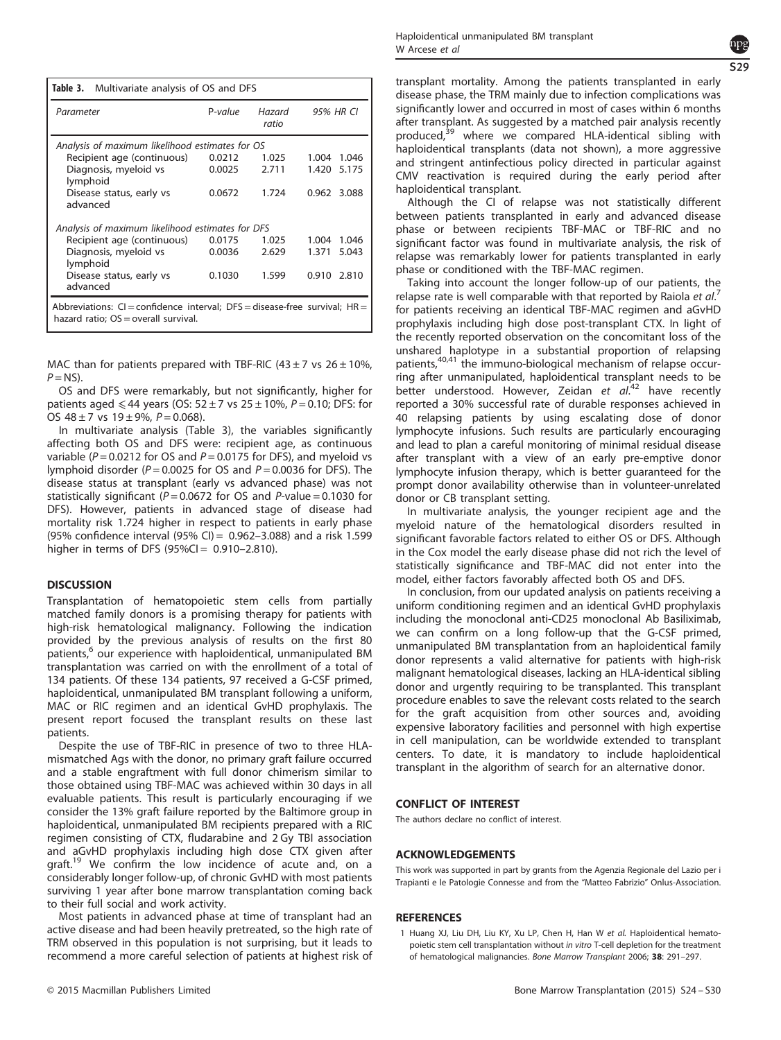<span id="page-5-0"></span>

| Parameter                                        | P-value | Hazard<br>ratio | 95% HR CI |             |  |  |  |
|--------------------------------------------------|---------|-----------------|-----------|-------------|--|--|--|
| Analysis of maximum likelihood estimates for OS  |         |                 |           |             |  |  |  |
| Recipient age (continuous)                       | 0.0212  | 1.025           |           | 1.004 1.046 |  |  |  |
| Diagnosis, myeloid vs<br>lymphoid                | 0.0025  | 2.711           | 1.420     | 5.175       |  |  |  |
| Disease status, early vs<br>advanced             | 0.0672  | 1.724           | 0.962     | 3.088       |  |  |  |
| Analysis of maximum likelihood estimates for DFS |         |                 |           |             |  |  |  |
| Recipient age (continuous)                       | 0.0175  | 1.025           | 1.004     | 1.046       |  |  |  |
| Diagnosis, myeloid vs<br>lymphoid                | 0.0036  | 2.629           | 1.371     | 5.043       |  |  |  |
| Disease status, early vs<br>advanced             | 0.1030  | 1.599           | 0.910     | 2.810       |  |  |  |

MAC than for patients prepared with TBF-RIC (43  $\pm$  7 vs 26  $\pm$  10%,  $P = NS$ ).

OS and DFS were remarkably, but not significantly, higher for patients aged  $\leq 44$  years (OS:  $52 \pm 7$  vs  $25 \pm 10$ %,  $P = 0.10$ ; DFS: for OS  $48 \pm 7$  vs  $19 \pm 9$ %,  $P = 0.068$ ).

In multivariate analysis (Table 3), the variables significantly affecting both OS and DFS were: recipient age, as continuous variable ( $P = 0.0212$  for OS and  $P = 0.0175$  for DFS), and myeloid vs lymphoid disorder ( $P = 0.0025$  for OS and  $P = 0.0036$  for DFS). The disease status at transplant (early vs advanced phase) was not statistically significant ( $P = 0.0672$  for OS and P-value = 0.1030 for DFS). However, patients in advanced stage of disease had mortality risk 1.724 higher in respect to patients in early phase (95% confidence interval (95% CI) = 0.962–3.088) and a risk 1.599 higher in terms of DFS (95%CI =  $0.910-2.810$ ).

# **DISCUSSION**

Transplantation of hematopoietic stem cells from partially matched family donors is a promising therapy for patients with high-risk hematological malignancy. Following the indication provided by the previous analysis of results on the first 80 patients,<sup>[6](#page-6-0)</sup> our experience with haploidentical, unmanipulated BM transplantation was carried on with the enrollment of a total of 134 patients. Of these 134 patients, 97 received a G-CSF primed, haploidentical, unmanipulated BM transplant following a uniform, MAC or RIC regimen and an identical GvHD prophylaxis. The present report focused the transplant results on these last patients.

Despite the use of TBF-RIC in presence of two to three HLAmismatched Ags with the donor, no primary graft failure occurred and a stable engraftment with full donor chimerism similar to those obtained using TBF-MAC was achieved within 30 days in all evaluable patients. This result is particularly encouraging if we consider the 13% graft failure reported by the Baltimore group in haploidentical, unmanipulated BM recipients prepared with a RIC regimen consisting of CTX, fludarabine and 2 Gy TBI association and aGvHD prophylaxis including high dose CTX given after graft.<sup>19</sup> We confirm the low incidence of acute and, on a considerably longer follow-up, of chronic GvHD with most patients surviving 1 year after bone marrow transplantation coming back to their full social and work activity.

Most patients in advanced phase at time of transplant had an active disease and had been heavily pretreated, so the high rate of TRM observed in this population is not surprising, but it leads to recommend a more careful selection of patients at highest risk of transplant mortality. Among the patients transplanted in early disease phase, the TRM mainly due to infection complications was significantly lower and occurred in most of cases within 6 months after transplant. As suggested by a matched pair analysis recently produced,<sup>[39](#page-6-0)</sup> where we compared HLA-identical sibling with haploidentical transplants (data not shown), a more aggressive and stringent antinfectious policy directed in particular against CMV reactivation is required during the early period after haploidentical transplant.

Although the CI of relapse was not statistically different between patients transplanted in early and advanced disease phase or between recipients TBF-MAC or TBF-RIC and no significant factor was found in multivariate analysis, the risk of relapse was remarkably lower for patients transplanted in early phase or conditioned with the TBF-MAC regimen.

Taking into account the longer follow-up of our patients, the relapse rate is well comparable with that reported by Raiola et  $al$ . for patients receiving an identical TBF-MAC regimen and aGvHD prophylaxis including high dose post-transplant CTX. In light of the recently reported observation on the concomitant loss of the unshared haplotype in a substantial proportion of relapsing patients,[40,41](#page-6-0) the immuno-biological mechanism of relapse occurring after unmanipulated, haploidentical transplant needs to be better understood. However, Zeidan et al.<sup>[42](#page-6-0)</sup> have recently reported a 30% successful rate of durable responses achieved in 40 relapsing patients by using escalating dose of donor lymphocyte infusions. Such results are particularly encouraging and lead to plan a careful monitoring of minimal residual disease after transplant with a view of an early pre-emptive donor lymphocyte infusion therapy, which is better guaranteed for the prompt donor availability otherwise than in volunteer-unrelated donor or CB transplant setting.

In multivariate analysis, the younger recipient age and the myeloid nature of the hematological disorders resulted in significant favorable factors related to either OS or DFS. Although in the Cox model the early disease phase did not rich the level of statistically significance and TBF-MAC did not enter into the model, either factors favorably affected both OS and DFS.

In conclusion, from our updated analysis on patients receiving a uniform conditioning regimen and an identical GvHD prophylaxis including the monoclonal anti-CD25 monoclonal Ab Basiliximab, we can confirm on a long follow-up that the G-CSF primed, unmanipulated BM transplantation from an haploidentical family donor represents a valid alternative for patients with high-risk malignant hematological diseases, lacking an HLA-identical sibling donor and urgently requiring to be transplanted. This transplant procedure enables to save the relevant costs related to the search for the graft acquisition from other sources and, avoiding expensive laboratory facilities and personnel with high expertise in cell manipulation, can be worldwide extended to transplant centers. To date, it is mandatory to include haploidentical transplant in the algorithm of search for an alternative donor.

# CONFLICT OF INTEREST

The authors declare no conflict of interest.

# ACKNOWLEDGEMENTS

This work was supported in part by grants from the Agenzia Regionale del Lazio per i Trapianti e le Patologie Connesse and from the "Matteo Fabrizio" Onlus-Association.

# **REFERENCES**

1 Huang XJ, Liu DH, Liu KY, Xu LP, Chen H, Han W et al. Haploidentical hematopoietic stem cell transplantation without in vitro T-cell depletion for the treatment of hematological malignancies. Bone Marrow Transplant 2006; 38: 291–297.